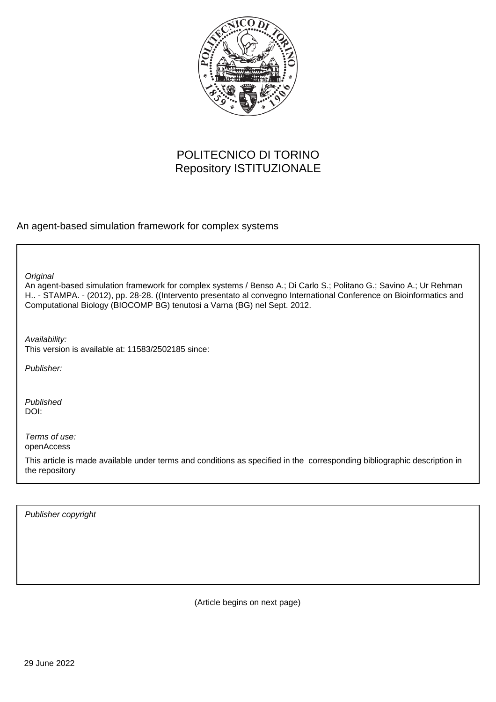

## POLITECNICO DI TORINO Repository ISTITUZIONALE

An agent-based simulation framework for complex systems

**Original** 

An agent-based simulation framework for complex systems / Benso A.; Di Carlo S.; Politano G.; Savino A.; Ur Rehman H.. - STAMPA. - (2012), pp. 28-28. ((Intervento presentato al convegno International Conference on Bioinformatics and Computational Biology (BIOCOMP BG) tenutosi a Varna (BG) nel Sept. 2012.

Availability:

This version is available at: 11583/2502185 since:

Publisher:

Published DOI:

Terms of use: openAccess

This article is made available under terms and conditions as specified in the corresponding bibliographic description in the repository

Publisher copyright

(Article begins on next page)